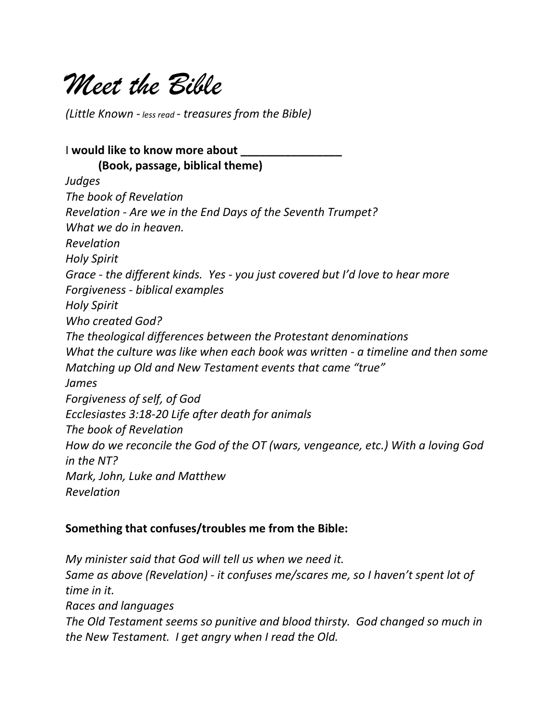

*(Little Known - less read - treasures from the Bible)*

I **would like to know more about \_\_\_\_\_\_\_\_\_\_\_\_\_\_\_\_ (Book, passage, biblical theme)** *Judges The book of Revelation Revelation - Are we in the End Days of the Seventh Trumpet? What we do in heaven. Revelation Holy Spirit Grace - the different kinds. Yes - you just covered but I'd love to hear more Forgiveness - biblical examples Holy Spirit Who created God? The theological differences between the Protestant denominations What the culture was like when each book was written - a timeline and then some Matching up Old and New Testament events that came "true" James Forgiveness of self, of God Ecclesiastes 3:18-20 Life after death for animals The book of Revelation How do we reconcile the God of the OT (wars, vengeance, etc.) With a loving God in the NT? Mark, John, Luke and Matthew Revelation*

#### **Something that confuses/troubles me from the Bible:**

*My minister said that God will tell us when we need it. Same as above (Revelation) - it confuses me/scares me, so I haven't spent lot of time in it. Races and languages The Old Testament seems so punitive and blood thirsty. God changed so much in the New Testament. I get angry when I read the Old.*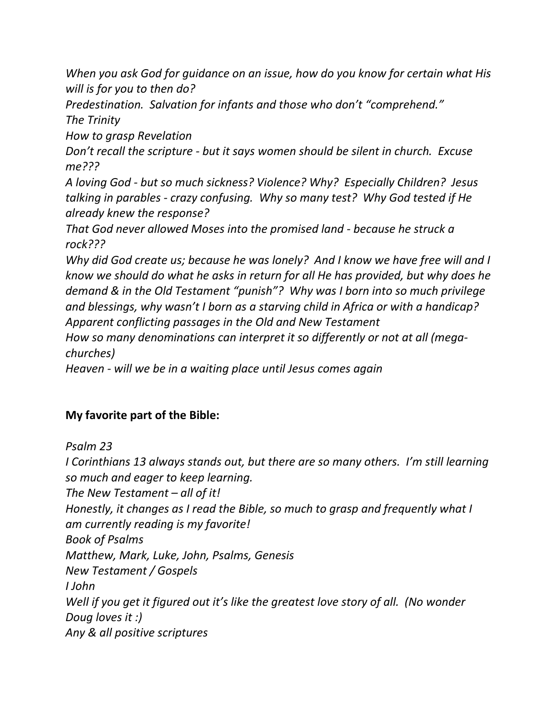*When you ask God for guidance on an issue, how do you know for certain what His will is for you to then do?*

*Predestination. Salvation for infants and those who don't "comprehend." The Trinity*

*How to grasp Revelation*

*Don't recall the scripture - but it says women should be silent in church. Excuse me???*

*A loving God - but so much sickness? Violence? Why? Especially Children? Jesus talking in parables - crazy confusing. Why so many test? Why God tested if He already knew the response?*

*That God never allowed Moses into the promised land - because he struck a rock???*

*Why did God create us; because he was lonely? And I know we have free will and I know we should do what he asks in return for all He has provided, but why does he demand & in the Old Testament "punish"? Why was I born into so much privilege and blessings, why wasn't I born as a starving child in Africa or with a handicap? Apparent conflicting passages in the Old and New Testament*

*How so many denominations can interpret it so differently or not at all (megachurches)*

*Heaven - will we be in a waiting place until Jesus comes again*

# **My favorite part of the Bible:**

*Psalm 23 I Corinthians 13 always stands out, but there are so many others. I'm still learning so much and eager to keep learning. The New Testament – all of it! Honestly, it changes as I read the Bible, so much to grasp and frequently what I am currently reading is my favorite! Book of Psalms Matthew, Mark, Luke, John, Psalms, Genesis New Testament / Gospels I John Well if you get it figured out it's like the greatest love story of all. (No wonder Doug loves it :) Any & all positive scriptures*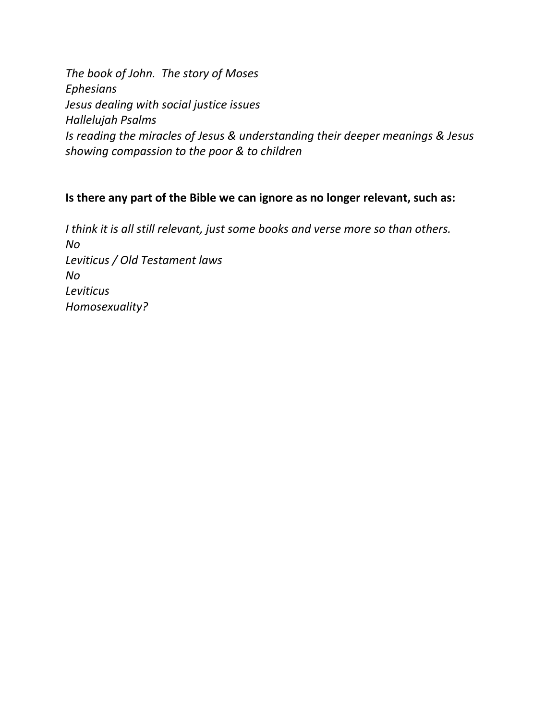*The book of John. The story of Moses Ephesians Jesus dealing with social justice issues Hallelujah Psalms Is reading the miracles of Jesus & understanding their deeper meanings & Jesus showing compassion to the poor & to children*

### **Is there any part of the Bible we can ignore as no longer relevant, such as:**

*I think it is all still relevant, just some books and verse more so than others. No Leviticus / Old Testament laws No Leviticus Homosexuality?*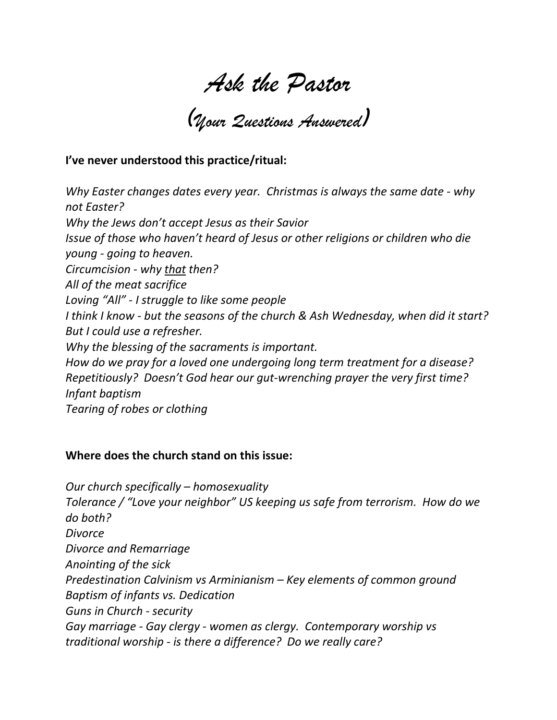*Ask the Pastor (Your Questions Answered)*

### **I've never understood this practice/ritual:**

*Why Easter changes dates every year. Christmas is always the same date - why not Easter? Why the Jews don't accept Jesus as their Savior Issue of those who haven't heard of Jesus or other religions or children who die young - going to heaven. Circumcision - why that then? All of the meat sacrifice Loving "All" - I struggle to like some people I think I know - but the seasons of the church & Ash Wednesday, when did it start? But I could use a refresher. Why the blessing of the sacraments is important. How do we pray for a loved one undergoing long term treatment for a disease? Repetitiously? Doesn't God hear our gut-wrenching prayer the very first time? Infant baptism Tearing of robes or clothing*

#### **Where does the church stand on this issue:**

*Our church specifically – homosexuality Tolerance / "Love your neighbor" US keeping us safe from terrorism. How do we do both? Divorce Divorce and Remarriage Anointing of the sick Predestination Calvinism vs Arminianism – Key elements of common ground Baptism of infants vs. Dedication Guns in Church - security Gay marriage - Gay clergy - women as clergy. Contemporary worship vs traditional worship - is there a difference? Do we really care?*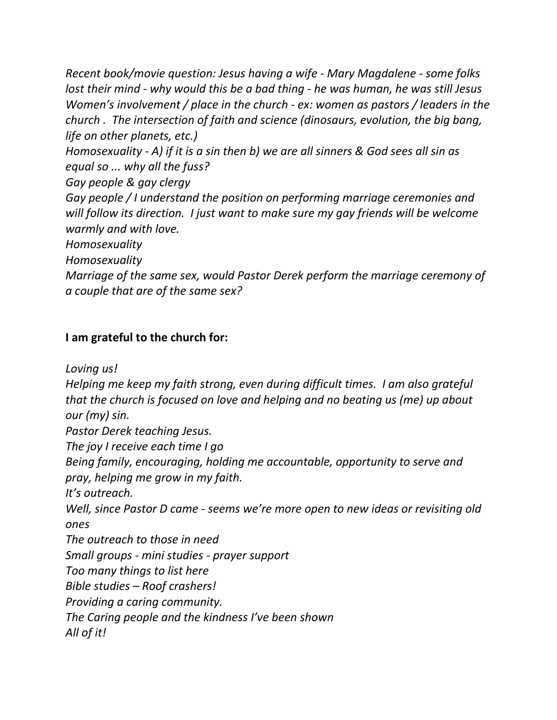*Recent book/movie question: Jesus having a wife - Mary Magdalene - some folks lost their mind - why would this be a bad thing - he was human, he was still Jesus Women's involvement / place in the church - ex: women as pastors / leaders in the church . The intersection of faith and science (dinosaurs, evolution, the big bang, life on other planets, etc.)*

*Homosexuality - A) if it is a sin then b) we are all sinners & God sees all sin as equal so ... why all the fuss?*

*Gay people & gay clergy*

*Gay people / I understand the position on performing marriage ceremonies and will follow its direction. I just want to make sure my gay friends will be welcome warmly and with love.*

*Homosexuality*

*Homosexuality*

*Marriage of the same sex, would Pastor Derek perform the marriage ceremony of a couple that are of the same sex?*

# **I am grateful to the church for:**

*Loving us!*

*Helping me keep my faith strong, even during difficult times. I am also grateful that the church is focused on love and helping and no beating us (me) up about our (my) sin.*

*Pastor Derek teaching Jesus.*

*The joy I receive each time I go*

*Being family, encouraging, holding me accountable, opportunity to serve and pray, helping me grow in my faith.*

*It's outreach.*

*Well, since Pastor D came - seems we're more open to new ideas or revisiting old ones*

*The outreach to those in need*

*Small groups - mini studies - prayer support*

*Too many things to list here*

*Bible studies – Roof crashers!*

*Providing a caring community.*

*The Caring people and the kindness I've been shown*

*All of it!*